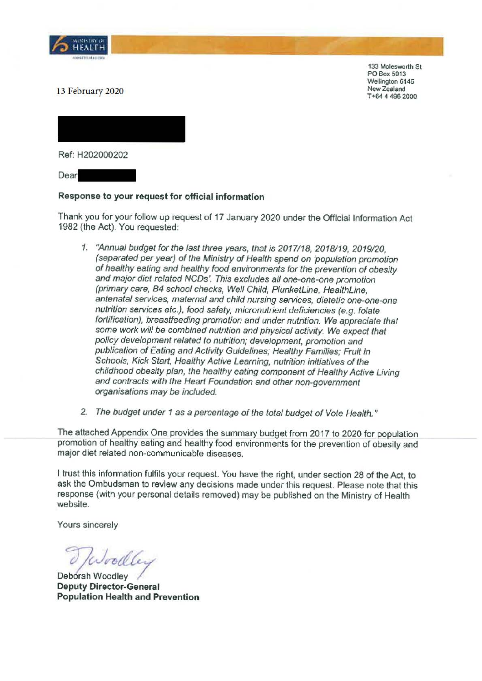

133 Molesworth St PO Box 5013 Wellington 6145 New Zealand T +64 4 496 2000

13 February 2020

**Ref:** H202000202

Dear

## **Response to your request for official information**

Thank you for your follow up request of 17 January 2020 under the Official Information Act 1982 (the Act). You requested:

- 1. "Annual budget for the last three years, that is 2017118, 2018/19, 2019/20, (separated per year) of the Ministry of Health spend on 'population promotion of healthy eating and healthy food environments for the prevention of obesity and major diet-related NCDs'. This excludes all one-one-one promotion (primary care, B4 school checks, Well Child, PlunketLine, HealthLine, antenatal services, maternal and child nursing services, dietetic one-one-one nutrition services etc.), food safety, micronulrient deficiencies (e.g. folate fortification), breastfeeding promotion and under nutrition. We appreciate that some work will be combined nutrition and physical activity. We expect that policy development related to nutrition; development, promotion and publication of Eating and Activity Guidelines; Healthy Families; Fruit in Schools, Kick Start, Healthy Active Learning, nutrition initiatives of the childhood obesity plan, the healthy eating component of Healthy Active Living and contracts with the Heart Foundation and other non-government organisations may be included.
- 2. The budget under 1 as a percentage of the total budget of Vote Health."

The attached Appendix One provides the summary budget from 2017 to 2020 for population promotion of healthy eating and healthy food environments for the prevention of obesity and major diet related non-communicable diseases.

I trust this information fulfils your request. You have the right, under section 28 of the Act, to ask the Ombudsman to review any decisions made under this request. Please note that this response (with your personal details removed) may be published on the Ministry of Health website.

Yours sincerely

*~Jvvttb-v* 

Deborah Woodley **Deputy Director-General Population Health and Prevention**